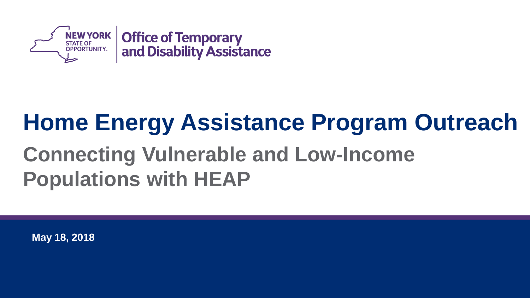

## **Home Energy Assistance Program Outreach Connecting Vulnerable and Low-Income Populations with HEAP**

**May 18, 2018**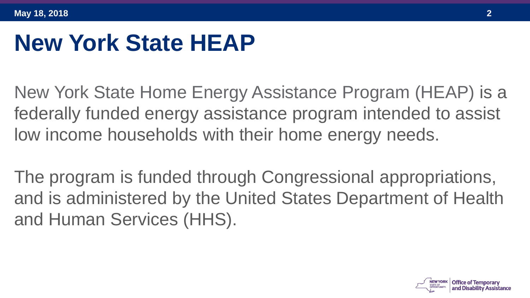#### **New York State HEAP**

New York State Home Energy Assistance Program (HEAP) is a federally funded energy assistance program intended to assist low income households with their home energy needs.

The program is funded through Congressional appropriations, and is administered by the United States Department of Health and Human Services (HHS).

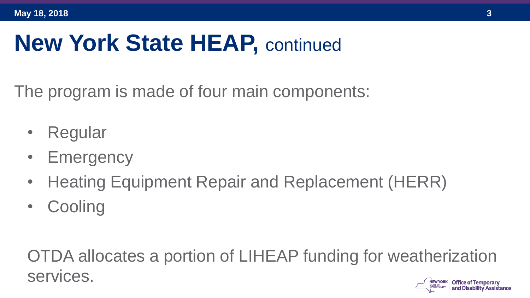#### **New York State HEAP, continued**

The program is made of four main components:

- **Regular**
- **Emergency**
- Heating Equipment Repair and Replacement (HERR)
- **Cooling**

OTDA allocates a portion of LIHEAP funding for weatherization services.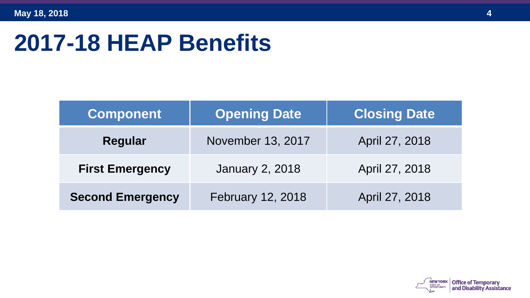#### **2017-18 HEAP Benefits**

| <b>Component</b>        | <b>Opening Date</b>    | <b>Closing Date</b> |  |  |
|-------------------------|------------------------|---------------------|--|--|
| <b>Regular</b>          | November 13, 2017      | April 27, 2018      |  |  |
| <b>First Emergency</b>  | <b>January 2, 2018</b> | April 27, 2018      |  |  |
| <b>Second Emergency</b> | February 12, 2018      | April 27, 2018      |  |  |

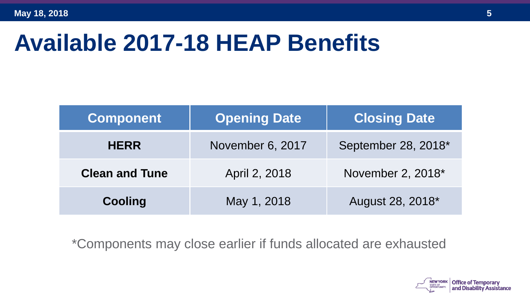#### **Available 2017-18 HEAP Benefits**

| <b>Component</b>      | <b>Opening Date</b> | <b>Closing Date</b> |
|-----------------------|---------------------|---------------------|
| <b>HERR</b>           | November 6, 2017    | September 28, 2018* |
| <b>Clean and Tune</b> | April 2, 2018       | November 2, 2018*   |
| <b>Cooling</b>        | May 1, 2018         | August 28, 2018*    |

\*Components may close earlier if funds allocated are exhausted

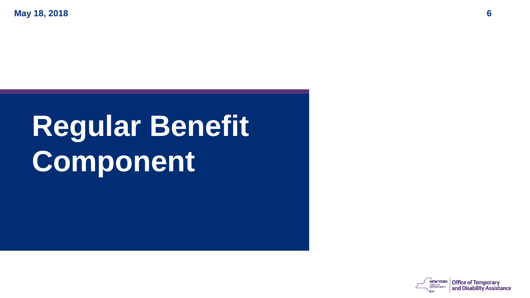# **Regular Benefit Component**

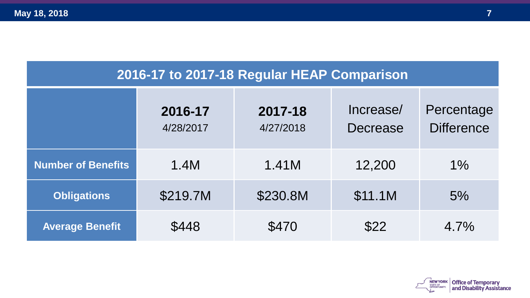#### **2016-17 to 2017-18 Regular HEAP Comparison**

|                           | 2016-17<br>4/28/2017 | 2017-18<br>4/27/2018 | Increase/<br><b>Decrease</b> | Percentage<br><b>Difference</b> |
|---------------------------|----------------------|----------------------|------------------------------|---------------------------------|
| <b>Number of Benefits</b> | 1.4M                 | 1.41M                | 12,200                       | $1\%$                           |
| <b>Obligations</b>        | \$219.7M             | \$230.8M             | \$11.1M                      | 5%                              |
| <b>Average Benefit</b>    | \$448                | \$470                | \$22                         | 4.7%                            |

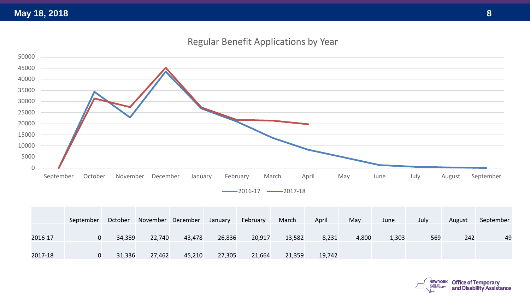#### Regular Benefit Applications by Year



|         | September | October | November December |        | January | February | March  | April  | May   | June  | July | August | September |
|---------|-----------|---------|-------------------|--------|---------|----------|--------|--------|-------|-------|------|--------|-----------|
| 2016-17 | 0         | 34,389  | 22,740            | 43,478 | 26,836  | 20,917   | 13,582 | 8,231  | 4,800 | 1,303 | 569  | 242    | 49        |
| 2017-18 | 0         | 31,336  | 27,462            | 45,210 | 27,305  | 21,664   | 21,359 | 19.742 |       |       |      |        |           |

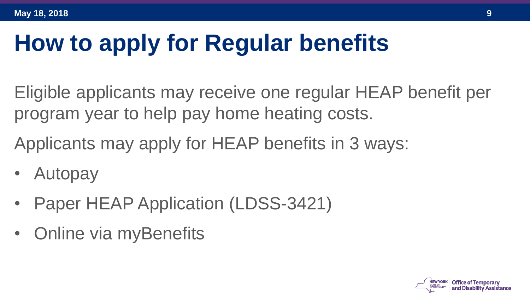## **How to apply for Regular benefits**

Eligible applicants may receive one regular HEAP benefit per program year to help pay home heating costs.

Applicants may apply for HEAP benefits in 3 ways:

- Autopay
- Paper HEAP Application (LDSS-3421)
- Online via myBenefits

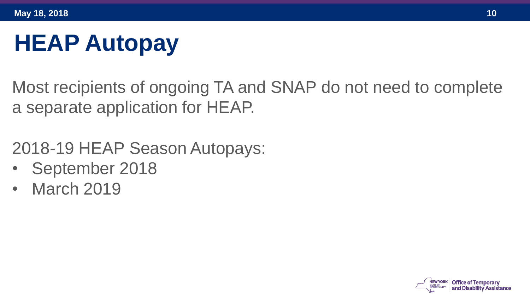# **HEAP Autopay**

Most recipients of ongoing TA and SNAP do not need to complete a separate application for HEAP.

2018-19 HEAP Season Autopays:

- September 2018
- March 2019

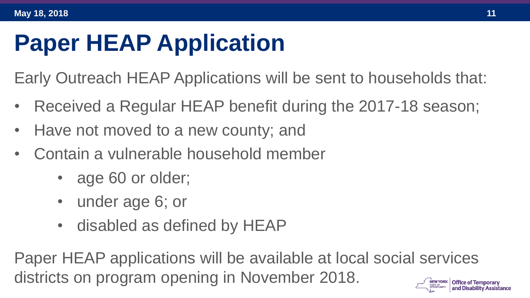## **Paper HEAP Application**

Early Outreach HEAP Applications will be sent to households that:

- Received a Regular HEAP benefit during the 2017-18 season;
- Have not moved to a new county; and
- Contain a vulnerable household member
	- age 60 or older;
	- under age 6; or
	- disabled as defined by HEAP

Paper HEAP applications will be available at local social services districts on program opening in November 2018.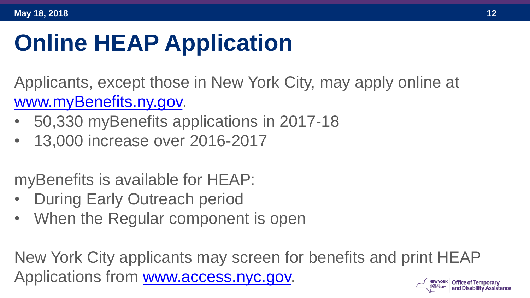# **Online HEAP Application**

Applicants, except those in New York City, may apply online at [www.myBenefits.ny.gov.](http://www.mybenefits.ny.gov/)

- 50,330 myBenefits applications in 2017-18
- 13,000 increase over 2016-2017

myBenefits is available for HEAP:

- **During Early Outreach period**
- When the Regular component is open

New York City applicants may screen for benefits and print HEAP Applications from [www.access.nyc.gov.](http://www.access.nyc.gov/)

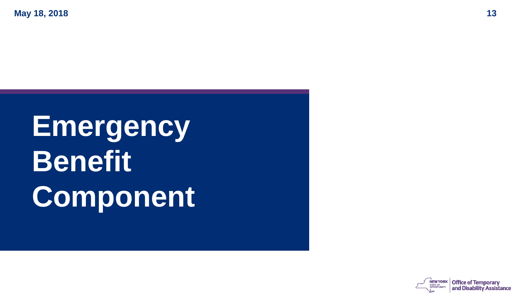# **Emergency Benefit Component**

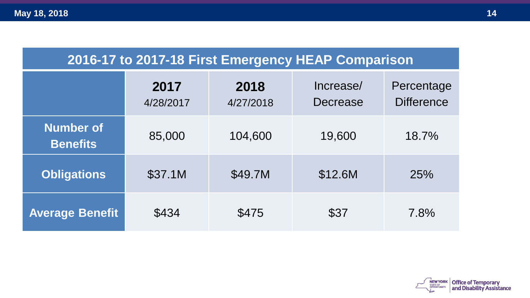| 2016-17 to 2017-18 First Emergency HEAP Comparison |  |  |
|----------------------------------------------------|--|--|
|----------------------------------------------------|--|--|

|                                     | 2017<br>4/28/2017 | 2018<br>4/27/2018 | Increase/<br>Decrease | Percentage<br><b>Difference</b> |
|-------------------------------------|-------------------|-------------------|-----------------------|---------------------------------|
| <b>Number of</b><br><b>Benefits</b> | 85,000            | 104,600           | 19,600                | 18.7%                           |
| <b>Obligations</b>                  | \$37.1M           | \$49.7M           | \$12.6M               | 25%                             |
| <b>Average Benefit</b>              | \$434             | \$475             | \$37                  | 7.8%                            |

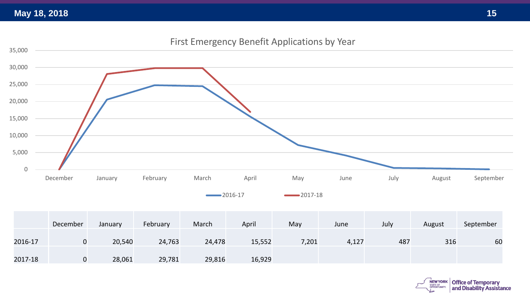First Emergency Benefit Applications by Year



2016-17 2017-18

|         | December | January | February | March  | April  | May   | June  | July | August | September |
|---------|----------|---------|----------|--------|--------|-------|-------|------|--------|-----------|
| 2016-17 | ັບ       | 20,540  | 24,763   | 24,478 | 15,552 | 7,201 | 4,127 | 487  | 316    | 60        |
| 2017-18 | v        | 28,061  | 29,781   | 29,816 | 16,929 |       |       |      |        |           |

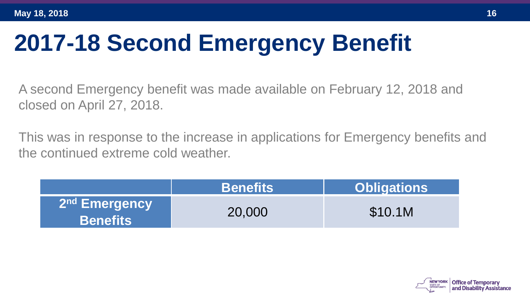## **2017-18 Second Emergency Benefit**

A second Emergency benefit was made available on February 12, 2018 and closed on April 27, 2018.

This was in response to the increase in applications for Emergency benefits and the continued extreme cold weather.

|                                              | <b>Benefits</b> | <b>Obligations</b> |
|----------------------------------------------|-----------------|--------------------|
| 2 <sup>nd</sup> Emergency<br><b>Benefits</b> | 20,000          | \$10.1M            |

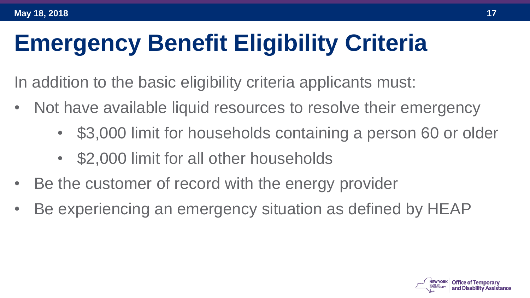# **Emergency Benefit Eligibility Criteria**

In addition to the basic eligibility criteria applicants must:

- Not have available liquid resources to resolve their emergency
	- \$3,000 limit for households containing a person 60 or older
	- \$2,000 limit for all other households
- Be the customer of record with the energy provider
- Be experiencing an emergency situation as defined by HEAP

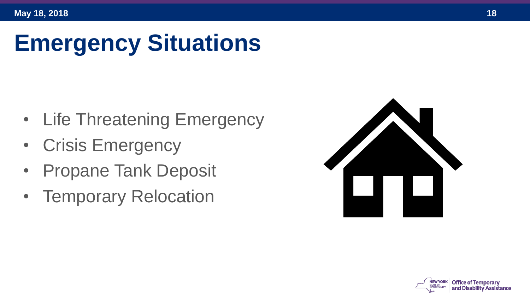## **Emergency Situations**

- Life Threatening Emergency
- Crisis Emergency
- Propane Tank Deposit
- Temporary Relocation



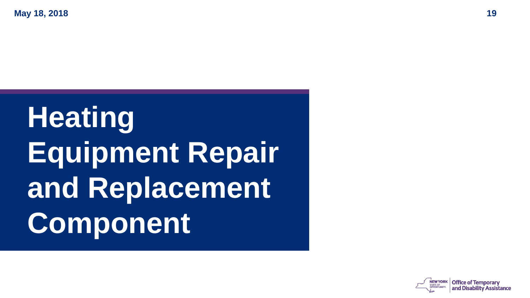# **Heating Equipment Repair and Replacement Component**

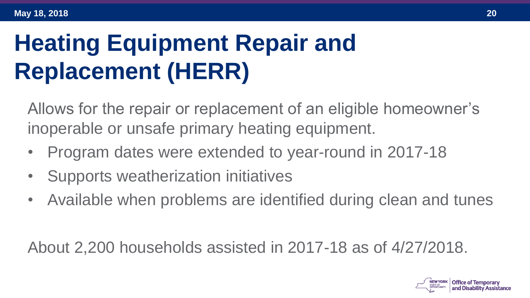## **Heating Equipment Repair and Replacement (HERR)**

Allows for the repair or replacement of an eligible homeowner's inoperable or unsafe primary heating equipment.

- Program dates were extended to year-round in 2017-18
- Supports weatherization initiatives
- Available when problems are identified during clean and tunes

About 2,200 households assisted in 2017-18 as of 4/27/2018.

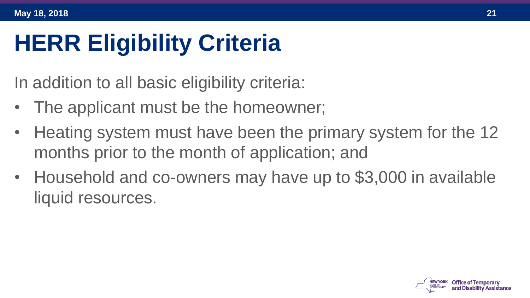## **HERR Eligibility Criteria**

In addition to all basic eligibility criteria:

- The applicant must be the homeowner;
- Heating system must have been the primary system for the 12 months prior to the month of application; and
- Household and co-owners may have up to \$3,000 in available liquid resources.

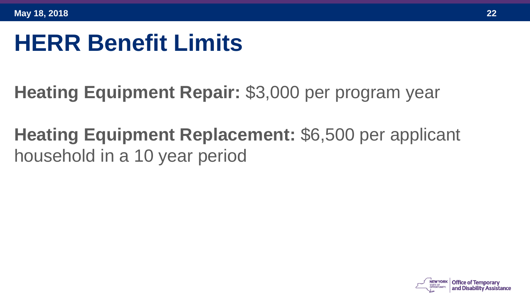#### **HERR Benefit Limits**

- **Heating Equipment Repair:** \$3,000 per program year
- **Heating Equipment Replacement:** \$6,500 per applicant household in a 10 year period

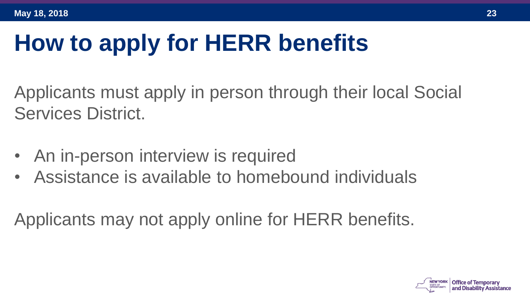# **How to apply for HERR benefits**

Applicants must apply in person through their local Social Services District.

- An in-person interview is required
- Assistance is available to homebound individuals

Applicants may not apply online for HERR benefits.

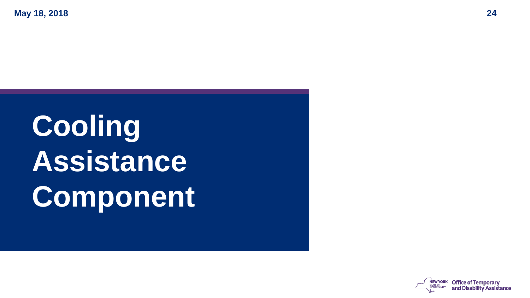# **Cooling Assistance Component**

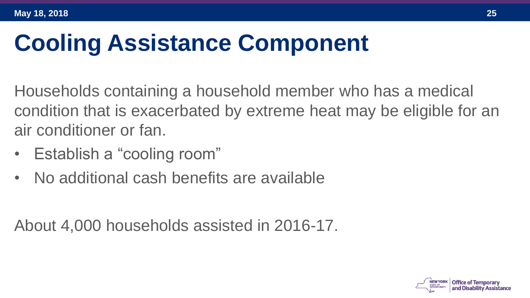## **Cooling Assistance Component**

Households containing a household member who has a medical condition that is exacerbated by extreme heat may be eligible for an air conditioner or fan.

- Establish a "cooling room"
- No additional cash benefits are available

About 4,000 households assisted in 2016-17.

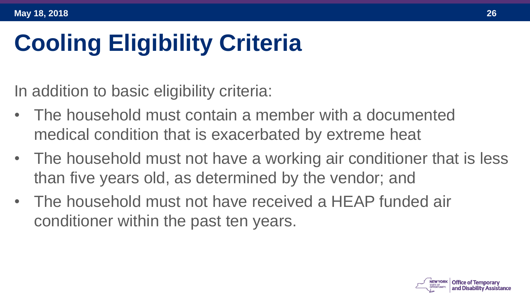# **Cooling Eligibility Criteria**

In addition to basic eligibility criteria:

- The household must contain a member with a documented medical condition that is exacerbated by extreme heat
- The household must not have a working air conditioner that is less than five years old, as determined by the vendor; and
- The household must not have received a HEAP funded air conditioner within the past ten years.

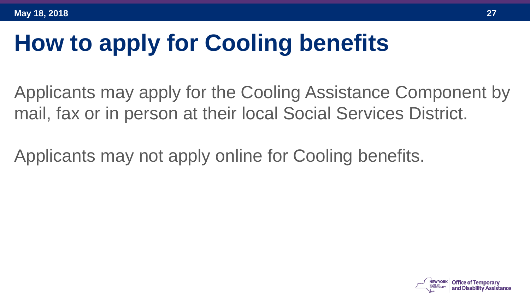# **How to apply for Cooling benefits**

Applicants may apply for the Cooling Assistance Component by mail, fax or in person at their local Social Services District.

Applicants may not apply online for Cooling benefits.

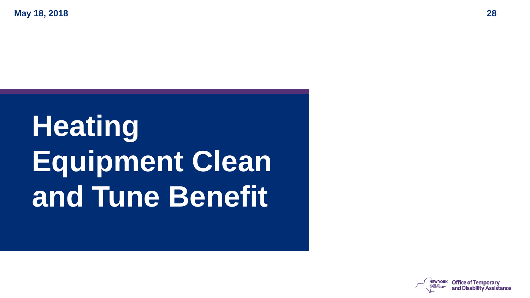# **Heating Equipment Clean and Tune Benefit**

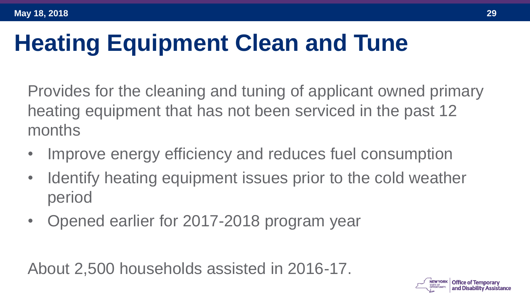# **Heating Equipment Clean and Tune**

Provides for the cleaning and tuning of applicant owned primary heating equipment that has not been serviced in the past 12 months

- Improve energy efficiency and reduces fuel consumption
- Identify heating equipment issues prior to the cold weather period
- Opened earlier for 2017-2018 program year

About 2,500 households assisted in 2016-17.

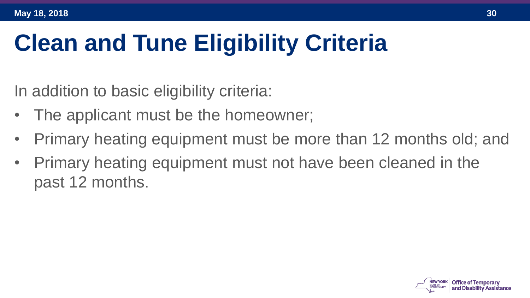# **Clean and Tune Eligibility Criteria**

In addition to basic eligibility criteria:

- The applicant must be the homeowner;
- Primary heating equipment must be more than 12 months old; and
- Primary heating equipment must not have been cleaned in the past 12 months.

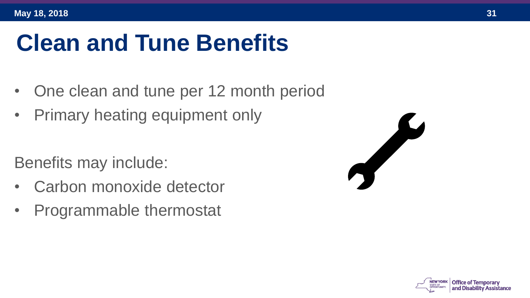## **Clean and Tune Benefits**

- One clean and tune per 12 month period
- Primary heating equipment only

Benefits may include:

- Carbon monoxide detector
- Programmable thermostat



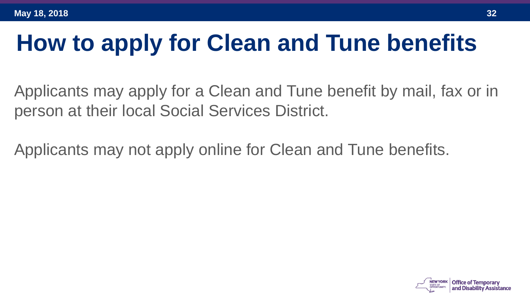#### **How to apply for Clean and Tune benefits**

Applicants may apply for a Clean and Tune benefit by mail, fax or in person at their local Social Services District.

Applicants may not apply online for Clean and Tune benefits.

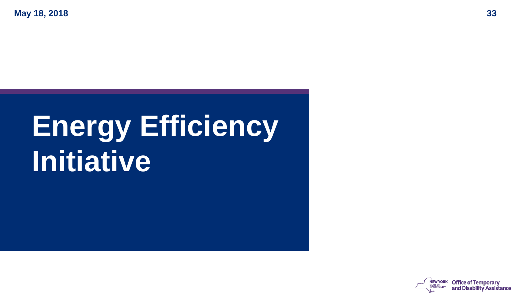# **Energy Efficiency Initiative**

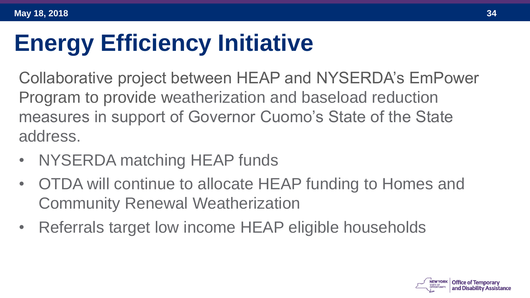## **Energy Efficiency Initiative**

Collaborative project between HEAP and NYSERDA's EmPower Program to provide weatherization and baseload reduction measures in support of Governor Cuomo's State of the State address.

- NYSERDA matching HEAP funds
- OTDA will continue to allocate HEAP funding to Homes and Community Renewal Weatherization
- Referrals target low income HEAP eligible households

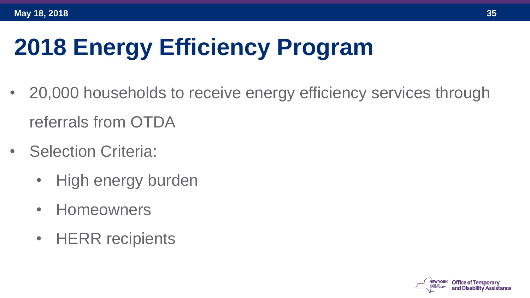# **2018 Energy Efficiency Program**

- 20,000 households to receive energy efficiency services through referrals from OTDA
- Selection Criteria:
	- High energy burden
	- Homeowners
	- HERR recipients

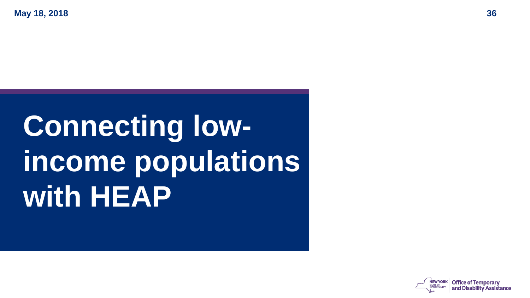# **Connecting lowincome populations with HEAP**

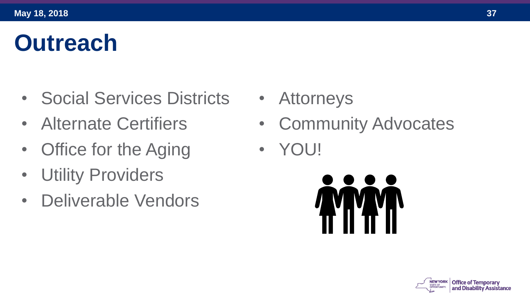## **Outreach**

- Social Services Districts
- Alternate Certifiers
- Office for the Aging
- Utility Providers
- Deliverable Vendors
- Attorneys
- Community Advocates
- YOU!



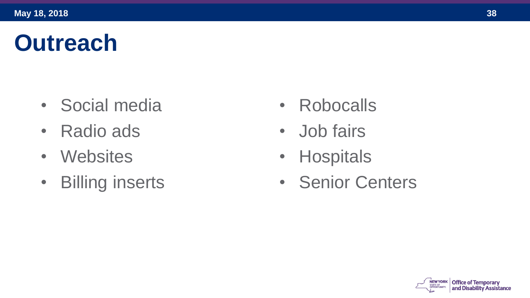#### **Outreach**

- Social media
- Radio ads
- Websites
- Billing inserts
- Robocalls
- Job fairs
- Hospitals
- Senior Centers



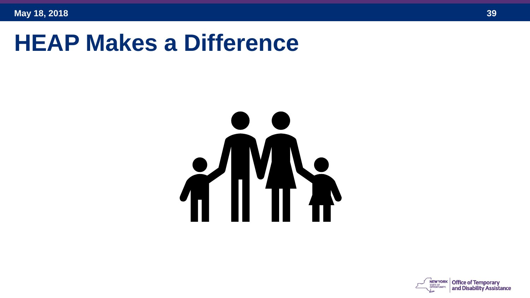#### **HEAP Makes a Difference**



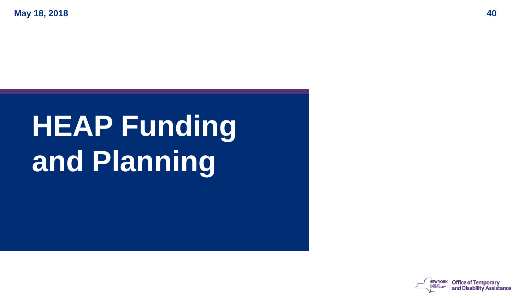# **HEAP Funding and Planning**

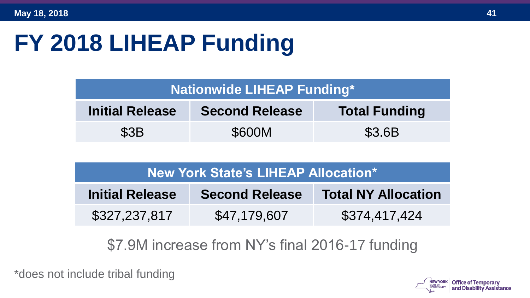# **FY 2018 LIHEAP Funding**

| <b>Nationwide LIHEAP Funding*</b> |                       |                      |  |  |
|-----------------------------------|-----------------------|----------------------|--|--|
| <b>Initial Release</b>            | <b>Second Release</b> | <b>Total Funding</b> |  |  |
| \$3B                              | \$600M                | \$3.6B               |  |  |

| <b>New York State's LIHEAP Allocation*</b> |                       |                            |  |
|--------------------------------------------|-----------------------|----------------------------|--|
| <b>Initial Release</b>                     | <b>Second Release</b> | <b>Total NY Allocation</b> |  |
| \$327,237,817                              | \$47,179,607          | \$374,417,424              |  |

\$7.9M increase from NY's final 2016-17 funding

\*does not include tribal funding

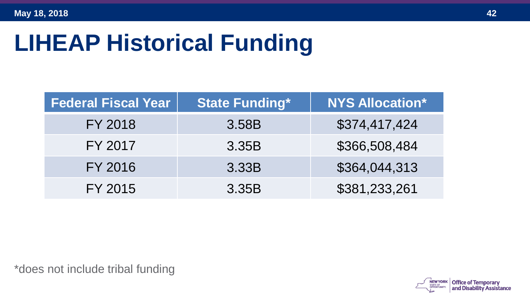## **LIHEAP Historical Funding**

| <b>Federal Fiscal Year</b> | <b>State Funding*</b> | <b>NYS Allocation*</b> |
|----------------------------|-----------------------|------------------------|
| FY 2018                    | 3.58B                 | \$374,417,424          |
| FY 2017                    | 3.35B                 | \$366,508,484          |
| FY 2016                    | 3.33B                 | \$364,044,313          |
| FY 2015                    | 3.35B                 | \$381,233,261          |

\*does not include tribal funding

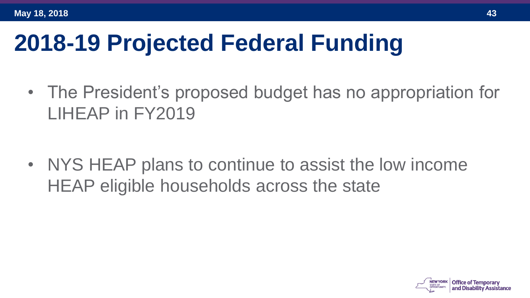#### **2018-19 Projected Federal Funding**

• The President's proposed budget has no appropriation for LIHEAP in FY2019

• NYS HEAP plans to continue to assist the low income HEAP eligible households across the state

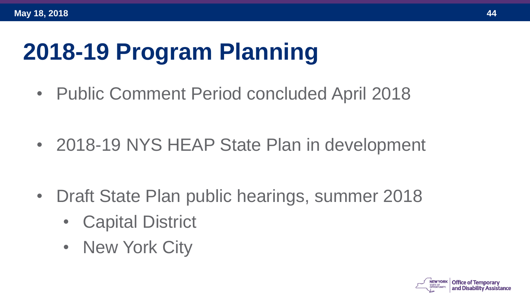#### **2018-19 Program Planning**

• Public Comment Period concluded April 2018

• 2018-19 NYS HEAP State Plan in development

- Draft State Plan public hearings, summer 2018
	- **Capital District**
	- New York City

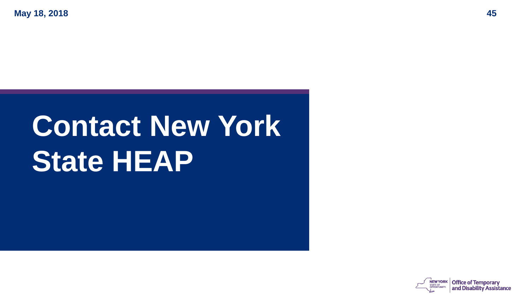# **Contact New York State HEAP**